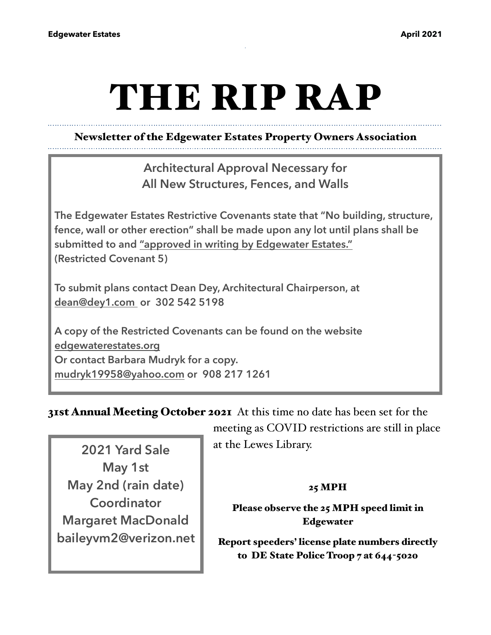# THE RIP RAP

## Newsletter of the Edgewater Estates Property Owners Association

**Architectural Approval Necessary for All New Structures, Fences, and Walls**

**The Edgewater Estates Restrictive Covenants state that "No building, structure, fence, wall or other erection" shall be made upon any lot until plans shall be submitted to and "approved in writing by Edgewater Estates." (Restricted Covenant 5)**

**To submit plans contact Dean Dey, Architectural Chairperson, at [dean@dey1.com](mailto:dean@dey1.com) or 302 542 5198**

**A copy of the Restricted Covenants can be found on the website [edgewaterestates.org](http://edgewaterestates.org)  Or contact Barbara Mudryk for a copy. [mudryk19958@yahoo.com](mailto:mudryk19958@yahoo.com) or 908 217 1261**

31st Annual Meeting October 2021 At this time no date has been set for the

**2021 Yard Sale May 1st May 2nd (rain date) Coordinator Margaret MacDonald baileyvm2@verizon.net** meeting as COVID restrictions are still in place at the Lewes Library.

#### 25 MPH

### Please observe the 25 MPH speed limit in Edgewater

Report speeders' license plate numbers directly to DE State Police Troop 7 at 644-5020